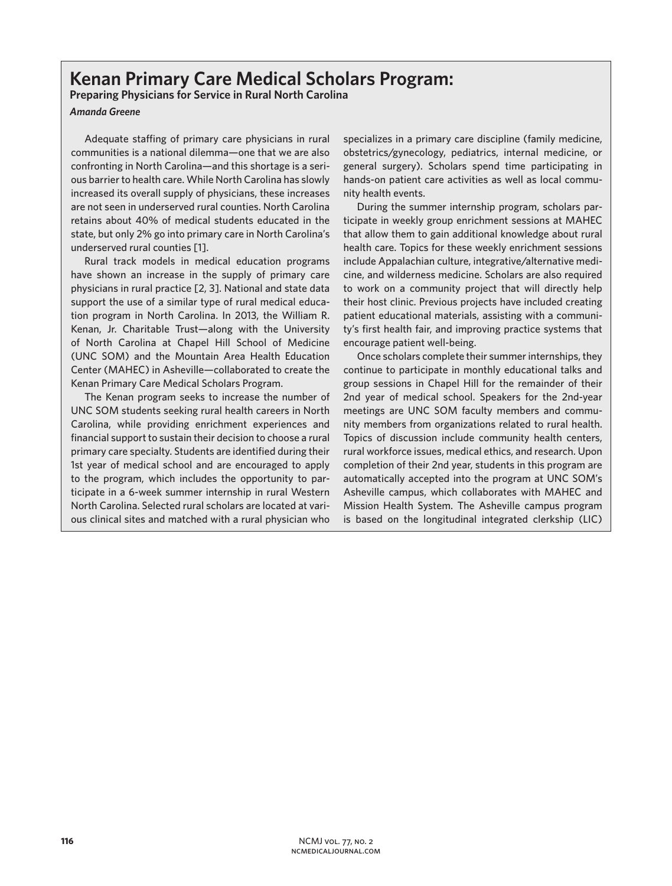## **Kenan Primary Care Medical Scholars Program:**

**Preparing Physicians for Service in Rural North Carolina** 

*Amanda Greene*

Adequate staffing of primary care physicians in rural communities is a national dilemma—one that we are also confronting in North Carolina—and this shortage is a serious barrier to health care. While North Carolina has slowly increased its overall supply of physicians, these increases are not seen in underserved rural counties. North Carolina retains about 40% of medical students educated in the state, but only 2% go into primary care in North Carolina's underserved rural counties [1].

Rural track models in medical education programs have shown an increase in the supply of primary care physicians in rural practice [2, 3]. National and state data support the use of a similar type of rural medical education program in North Carolina. In 2013, the William R. Kenan, Jr. Charitable Trust—along with the University of North Carolina at Chapel Hill School of Medicine (UNC SOM) and the Mountain Area Health Education Center (MAHEC) in Asheville—collaborated to create the Kenan Primary Care Medical Scholars Program.

The Kenan program seeks to increase the number of UNC SOM students seeking rural health careers in North Carolina, while providing enrichment experiences and financial support to sustain their decision to choose a rural primary care specialty. Students are identified during their 1st year of medical school and are encouraged to apply to the program, which includes the opportunity to participate in a 6-week summer internship in rural Western North Carolina. Selected rural scholars are located at various clinical sites and matched with a rural physician who

specializes in a primary care discipline (family medicine, obstetrics/gynecology, pediatrics, internal medicine, or general surgery). Scholars spend time participating in hands-on patient care activities as well as local community health events.

During the summer internship program, scholars participate in weekly group enrichment sessions at MAHEC that allow them to gain additional knowledge about rural health care. Topics for these weekly enrichment sessions include Appalachian culture, integrative/alternative medicine, and wilderness medicine. Scholars are also required to work on a community project that will directly help their host clinic. Previous projects have included creating patient educational materials, assisting with a community's first health fair, and improving practice systems that encourage patient well-being.

Once scholars complete their summer internships, they continue to participate in monthly educational talks and group sessions in Chapel Hill for the remainder of their 2nd year of medical school. Speakers for the 2nd-year meetings are UNC SOM faculty members and community members from organizations related to rural health. Topics of discussion include community health centers, rural workforce issues, medical ethics, and research. Upon completion of their 2nd year, students in this program are automatically accepted into the program at UNC SOM's Asheville campus, which collaborates with MAHEC and Mission Health System. The Asheville campus program is based on the longitudinal integrated clerkship (LIC)